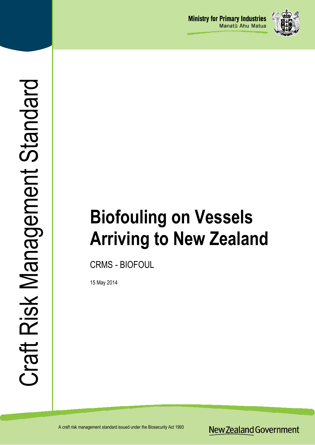

# **Biofouling on Vessels Arriving to New Zealand**

CRMS - BIOFOUL

15 May 2014

**New Zealand Government**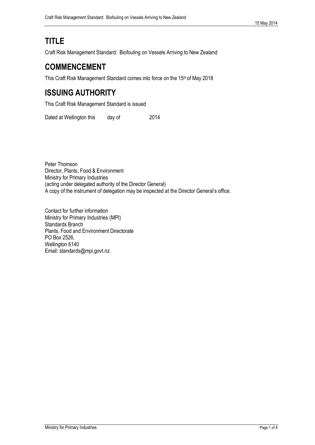# **TITLE**

Craft Risk Management Standard: Biofouling on Vessels Arriving to New Zealand

# **COMMENCEMENT**

This Craft Risk Management Standard comes into force on the 15<sup>th</sup> of May 2018

# **ISSUING AUTHORITY**

This Craft Risk Management Standard is issued

Dated at Wellington this day of 2014

Peter Thomson Director, Plants, Food & Environment Ministry for Primary Industries (acting under delegated authority of the Director General) A copy of the instrument of delegation may be inspected at the Director General's office.

Contact for further information Ministry for Primary Industries (MPI) Standards Branch Plants, Food and Environment Directorate PO Box 2526, Wellington 6140 Email: standards@mpi.govt.nz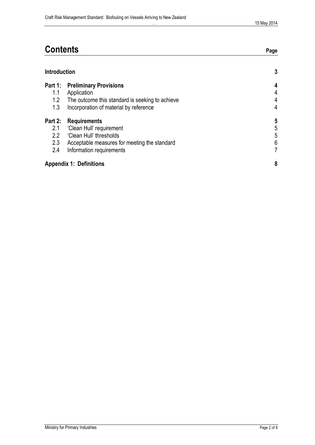| <b>Contents</b> | age |
|-----------------|-----|
|                 |     |

|                                    | <b>Introduction</b>                                                                       |             |
|------------------------------------|-------------------------------------------------------------------------------------------|-------------|
| 1.1<br>1.2                         | <b>Part 1: Preliminary Provisions</b><br>Application                                      | 4<br>4<br>4 |
| 1.3                                | The outcome this standard is seeking to achieve<br>Incorporation of material by reference | 4           |
| Part 2:<br>2.1<br>$2.2\phantom{0}$ | <b>Requirements</b><br>'Clean Hull' requirement<br>'Clean Hull' thresholds                | 5<br>5<br>5 |
| 2.3<br>2.4                         | Acceptable measures for meeting the standard<br>Information requirements                  | 6<br>7      |
|                                    | <b>Appendix 1: Definitions</b>                                                            | 8           |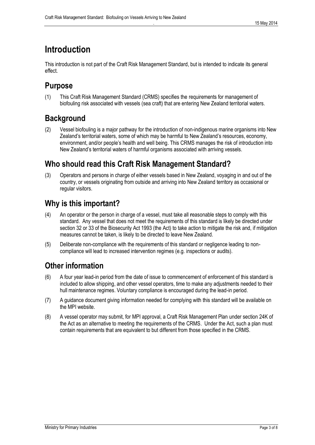# <span id="page-3-0"></span>**Introduction**

This introduction is not part of the Craft Risk Management Standard, but is intended to indicate its general effect.

# **Purpose**

(1) This Craft Risk Management Standard (CRMS) specifies the requirements for management of biofouling risk associated with vessels (sea craft) that are entering New Zealand territorial waters.

# **Background**

(2) Vessel biofouling is a major pathway for the introduction of non-indigenous marine organisms into New Zealand's territorial waters, some of which may be harmful to New Zealand's resources, economy, environment, and/or people's health and well being. This CRMS manages the risk of introduction into New Zealand's territorial waters of harmful organisms associated with arriving vessels.

# **Who should read this Craft Risk Management Standard?**

(3) Operators and persons in charge of either vessels based in New Zealand, voyaging in and out of the country, or vessels originating from outside and arriving into New Zealand territory as occasional or regular visitors.

# **Why is this important?**

- (4) An operator or the person in charge of a vessel, must take all **r**easonable steps to comply with this standard. Any vessel that does not meet the requirements of this standard is likely be directed under section 32 or 33 of the Biosecurity Act 1993 (the Act) to take action to mitigate the risk and, if mitigation measures cannot be taken, is likely to be directed to leave New Zealand.
- (5) Deliberate non-compliance with the requirements of this standard or negligence leading to noncompliance will lead to increased intervention regimes (e.g. inspections or audits).

# **Other information**

- (6) A four year lead-in period from the date of issue to commencement of enforcement of this standard is included to allow shipping, and other vessel operators, time to make any adjustments needed to their hull maintenance regimes. Voluntary compliance is encouraged during the lead-in period.
- (7) A guidance document giving information needed for complying with this standard will be available on the MPI website.
- (8) A vessel operator may submit, for MPI approval, a Craft Risk Management Plan under section 24K of the Act as an alternative to meeting the requirements of the CRMS. Under the Act, such a plan must contain requirements that are equivalent to but different from those specified in the CRMS.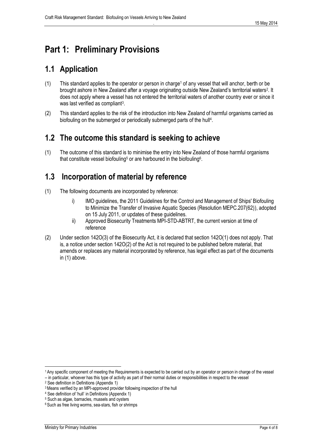# <span id="page-4-0"></span>**Part 1: Preliminary Provisions**

# <span id="page-4-1"></span>**1.1 Application**

- (1) This standard applies to the operator or person in charge<sup>1</sup> of any vessel that will anchor, berth or be brought ashore in New Zealand after a voyage originating outside New Zealand's territorial waters<sup>2</sup>. It does not apply where a vessel has not entered the territorial waters of another country ever or since it was last verified as compliant<sup>3</sup>.
- (2) This standard applies to the risk of the introduction into New Zealand of harmful organisms carried as biofouling on the submerged or periodically submerged parts of the hull<sup>4</sup>.

### <span id="page-4-2"></span>**1.2 The outcome this standard is seeking to achieve**

(1) The outcome of this standard is to minimise the entry into New Zealand of those harmful organisms that constitute vessel biofouling<sup>5</sup> or are harboured in the biofouling<sup>6</sup>.

### <span id="page-4-3"></span>**1.3 Incorporation of material by reference**

- (1) The following documents are incorporated by reference:
	- i) IMO guidelines, the 2011 Guidelines for the Control and Management of Ships' Biofouling to Minimize the Transfer of Invasive Aquatic Species (Resolution MEPC.207(62)), adopted on 15 July 2011, or updates of these guidelines.
	- ii) Approved Biosecurity Treatments MPI-STD-ABTRT, the current version at time of reference
- (2) Under section 142O(3) of the Biosecurity Act, it is declared that section 142O(1) does not apply. That is, a notice under section 142O(2) of the Act is not required to be published before material, that amends or replaces any material incorporated by reference, has legal effect as part of the documents in (1) above.

l

<sup>1</sup> Any specific component of meeting the Requirements is expected to be carried out by an operator or person in charge of the vessel

<sup>–</sup> in particular, whoever has this type of activity as part of their normal duties or responsibilities in respect to the vessel

<sup>2</sup> See definition in Definitions (Appendix 1)

<sup>&</sup>lt;sup>3</sup> Means verified by an MPI-approved provider following inspection of the hull

<sup>4</sup> See definition of 'hull' in Definitions (Appendix 1)

<sup>5</sup> Such as algae, barnacles, mussels and oysters

<sup>6</sup> Such as free living worms, sea-stars, fish or shrimps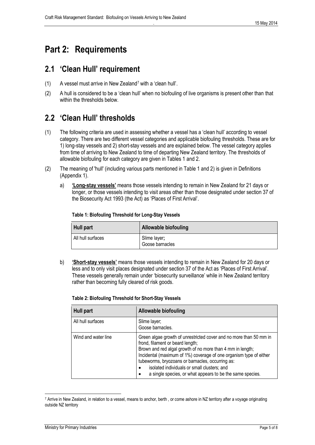# <span id="page-5-0"></span>**Part 2: Requirements**

### <span id="page-5-1"></span>**2.1 'Clean Hull' requirement**

- (1) A vessel must arrive in New Zealand<sup>7</sup> with a 'clean hull'.
- (2) A hull is considered to be a 'clean hull' when no biofouling of live organisms is present other than that within the thresholds below.

# <span id="page-5-2"></span>**2.2 'Clean Hull' thresholds**

- (1) The following criteria are used in assessing whether a vessel has a 'clean hull' according to vessel category. There are two different vessel categories and applicable biofouling thresholds. These are for 1) long-stay vessels and 2) short-stay vessels and are explained below. The vessel category applies from time of arriving to New Zealand to time of departing New Zealand territory. The thresholds of allowable biofouling for each category are given in Tables 1 and 2.
- (2) The meaning of 'hull' (including various parts mentioned in Table 1 and 2) is given in Definitions (Appendix 1).
	- a) **'Long-stay vessels'** means those vessels intending to remain in New Zealand for 21 days or longer, or those vessels intending to visit areas other than those designated under section 37 of the Biosecurity Act 1993 (the Act) as 'Places of First Arrival'.

| Hull part         | <b>Allowable biofouling</b>     |
|-------------------|---------------------------------|
| All hull surfaces | Slime layer;<br>Goose barnacles |

#### **Table 1: Biofouling Threshold for Long-Stay Vessels**

b) **'Short-stay vessels'** means those vessels intending to remain in New Zealand for 20 days or less and to only visit places designated under section 37 of the Act as 'Places of First Arrival'. These vessels generally remain under 'biosecurity surveillance' while in New Zealand territory rather than becoming fully cleared of risk goods.

| <b>Hull part</b>    | <b>Allowable biofouling</b>                                                                                                                                                                                                                                                                                                                                                                                             |
|---------------------|-------------------------------------------------------------------------------------------------------------------------------------------------------------------------------------------------------------------------------------------------------------------------------------------------------------------------------------------------------------------------------------------------------------------------|
| All hull surfaces   | Slime layer;<br>Goose barnacles.                                                                                                                                                                                                                                                                                                                                                                                        |
| Wind and water line | Green algae growth of unrestricted cover and no more than 50 mm in<br>frond, filament or beard length;<br>Brown and red algal growth of no more than 4 mm in length;<br>Incidental (maximum of 1%) coverage of one organism type of either<br>tubeworms, bryozoans or barnacles, occurring as:<br>isolated individuals or small clusters; and<br>a single species, or what appears to be the same species.<br>$\bullet$ |

#### **Table 2: Biofouling Threshold for Short-Stay Vessels**

 $\overline{\phantom{a}}$ 

<sup>&</sup>lt;sup>7</sup> Arrive in New Zealand, in relation to a vessel, means to anchor, berth, or come ashore in NZ territory after a voyage originating outside NZ territory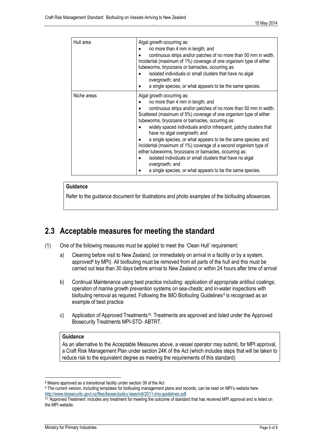| Hull area   | Algal growth occurring as:<br>no more than 4 mm in length; and<br>continuous strips and/or patches of no more than 50 mm in width.<br>Incidental (maximum of 1%) coverage of one organism type of either<br>tubeworms, bryozoans or barnacles, occurring as:<br>isolated individuals or small clusters that have no algal                                                                                                                                                                                                                                                                                                                                                                                      |
|-------------|----------------------------------------------------------------------------------------------------------------------------------------------------------------------------------------------------------------------------------------------------------------------------------------------------------------------------------------------------------------------------------------------------------------------------------------------------------------------------------------------------------------------------------------------------------------------------------------------------------------------------------------------------------------------------------------------------------------|
|             | overgrowth; and<br>a single species, or what appears to be the same species.                                                                                                                                                                                                                                                                                                                                                                                                                                                                                                                                                                                                                                   |
| Niche areas | Algal growth occurring as:<br>no more than 4 mm in length; and<br>continuous strips and/or patches of no more than 50 mm in width.<br>Scattered (maximum of 5%) coverage of one organism type of either<br>tubeworms, bryozoans or barnacles, occurring as:<br>widely spaced individuals and/or infrequent, patchy clusters that<br>have no algal overgrowth; and<br>a single species, or what appears to be the same species; and<br>Incidental (maximum of 1%) coverage of a second organism type of<br>either tubeworms, bryozoans or barnacles, occurring as:<br>isolated individuals or small clusters that have no algal<br>overgrowth; and<br>a single species, or what appears to be the same species. |

#### **Guidance**

Refer to the guidance document for illustrations and photo examples of the biofouling allowances.

### <span id="page-6-0"></span>**2.3 Acceptable measures for meeting the standard**

- (1) One of the following measures must be applied to meet the 'Clean Hull' requirement:
	- a) Cleaning before visit to New Zealand, (or immediately on arrival in a facility or by a system, approved<sup>8</sup> by MPI). All biofouling must be removed from all parts of the hull and this must be carried out less than 30 days before arrival to New Zealand or within 24 hours after time of arrival
	- b) Continual Maintenance using best practice including: application of appropriate antifoul coatings; operation of marine growth prevention systems on sea-chests; and in-water inspections with biofouling removal as required. Following the IMO Biofouling Guidelines<sup>9</sup> is recognised as an example of best practice
	- c) Application of Approved Treatments<sup>10</sup>. Treatments are approved and listed under the Approved Biosecurity Treatments MPI-STD- ABTRT.

#### **Guidance**

As an alternative to the Acceptable Measures above, a vessel operator may submit, for MPI approval, a Craft Risk Management Plan under section 24K of the Act (which includes steps that will be taken to reduce risk to the equivalent degree as meeting the requirements of this standard)

l

<sup>8</sup> Means approved as a transitional facility under section 39 of the Act

<sup>9</sup> The current version, including templates for biofouling management plans and records, can be read on MPI's website here [http://www.biosecurity.govt.nz/files/biosec/policy-laws/intl/2011-imo-guidelines.pdf.](http://www.biosecurity.govt.nz/files/biosec/policy-laws/intl/2011-imo-guidelines.pdf) 

<sup>10</sup> 'Approved Treatment' includes any treatment for meeting the outcome of standard that has received MPI approval and is listed on the MPI website.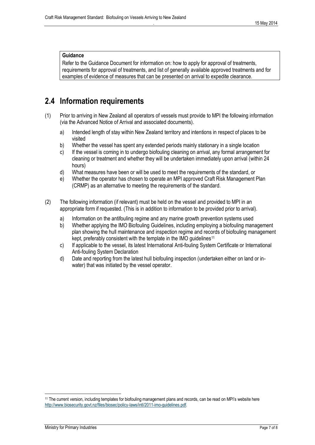#### **Guidance**

Refer to the Guidance Document for information on: how to apply for approval of treatments, requirements for approval of treatments, and list of generally available approved treatments and for examples of evidence of measures that can be presented on arrival to expedite clearance.

### <span id="page-7-0"></span>**2.4 Information requirements**

- (1) Prior to arriving in New Zealand all operators of vessels must provide to MPI the following information (via the Advanced Notice of Arrival and associated documents).
	- a) Intended length of stay within New Zealand territory and intentions in respect of places to be visited
	- b) Whether the vessel has spent any extended periods mainly stationary in a single location
	- c) If the vessel is coming in to undergo biofouling cleaning on arrival, any formal arrangement for cleaning or treatment and whether they will be undertaken immediately upon arrival (within 24 hours)
	- d) What measures have been or will be used to meet the requirements of the standard, or
	- e) Whether the operator has chosen to operate an MPI approved Craft Risk Management Plan (CRMP) as an alternative to meeting the requirements of the standard.
- (2) The following information (if relevant) must be held on the vessel and provided to MPI in an appropriate form if requested. (This is in addition to information to be provided prior to arrival).
	- a) Information on the antifouling regime and any marine growth prevention systems used
	- b) Whether applying the IMO Biofouling Guidelines, including employing a biofouling management plan showing the hull maintenance and inspection regime and records of biofouling management kept, preferably consistent with the template in the IMO quidelines<sup>11</sup>
	- c) If applicable to the vessel, its latest International Anti-fouling System Certificate or International Anti-fouling System Declaration
	- d) Date and reporting from the latest hull biofouling inspection (undertaken either on land or inwater) that was initiated by the vessel operator.

l

<sup>11</sup> The current version, including templates for biofouling management plans and records, can be read on MPI's website here [http://www.biosecurity.govt.nz/files/biosec/policy-laws/intl/2011-imo-guidelines.pdf.](http://www.biosecurity.govt.nz/files/biosec/policy-laws/intl/2011-imo-guidelines.pdf)